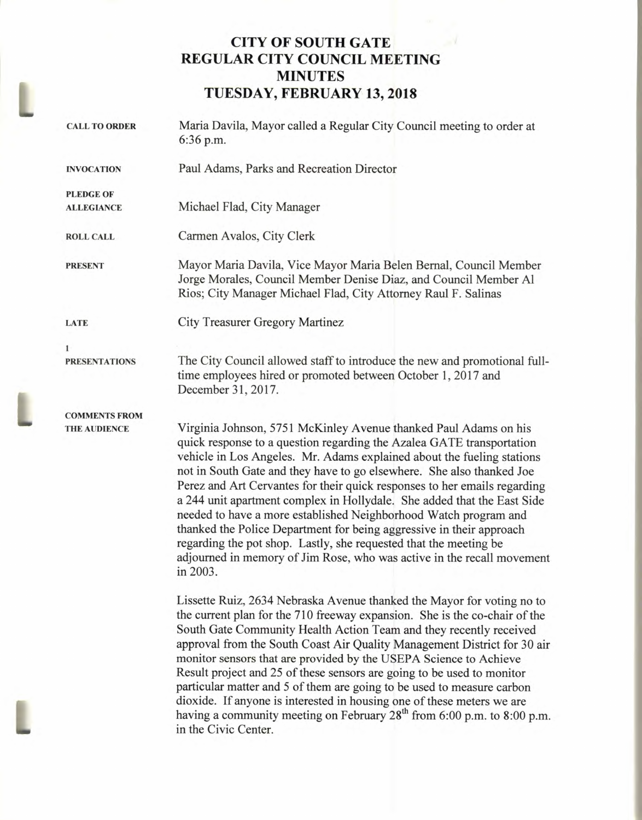# **CITY OF SOUTH GATE REGULAR CITY COUNCIL MEETING MINUTES TUESDAY, FEBRUARY 13, 2018**

 $\rightarrow$ 

| <b>CALL TO ORDER</b> | Maria Davila, Mayor called a Regular City Council meeting to order at<br>6:36 p.m.                                                                                                                                                                                                                                                                                                                                                                                                                                                                                                                                                                                                                                                                          |  |  |  |
|----------------------|-------------------------------------------------------------------------------------------------------------------------------------------------------------------------------------------------------------------------------------------------------------------------------------------------------------------------------------------------------------------------------------------------------------------------------------------------------------------------------------------------------------------------------------------------------------------------------------------------------------------------------------------------------------------------------------------------------------------------------------------------------------|--|--|--|
| <b>INVOCATION</b>    | Paul Adams, Parks and Recreation Director                                                                                                                                                                                                                                                                                                                                                                                                                                                                                                                                                                                                                                                                                                                   |  |  |  |
| <b>PLEDGE OF</b>     |                                                                                                                                                                                                                                                                                                                                                                                                                                                                                                                                                                                                                                                                                                                                                             |  |  |  |
| <b>ALLEGIANCE</b>    | Michael Flad, City Manager                                                                                                                                                                                                                                                                                                                                                                                                                                                                                                                                                                                                                                                                                                                                  |  |  |  |
| <b>ROLL CALL</b>     | Carmen Avalos, City Clerk                                                                                                                                                                                                                                                                                                                                                                                                                                                                                                                                                                                                                                                                                                                                   |  |  |  |
| <b>PRESENT</b>       | Mayor Maria Davila, Vice Mayor Maria Belen Bernal, Council Member<br>Jorge Morales, Council Member Denise Diaz, and Council Member Al<br>Rios; City Manager Michael Flad, City Attorney Raul F. Salinas                                                                                                                                                                                                                                                                                                                                                                                                                                                                                                                                                     |  |  |  |
| <b>LATE</b>          | <b>City Treasurer Gregory Martinez</b>                                                                                                                                                                                                                                                                                                                                                                                                                                                                                                                                                                                                                                                                                                                      |  |  |  |
| $\mathbf{1}$         |                                                                                                                                                                                                                                                                                                                                                                                                                                                                                                                                                                                                                                                                                                                                                             |  |  |  |
| <b>PRESENTATIONS</b> | The City Council allowed staff to introduce the new and promotional full-<br>time employees hired or promoted between October 1, 2017 and<br>December 31, 2017.                                                                                                                                                                                                                                                                                                                                                                                                                                                                                                                                                                                             |  |  |  |
| <b>COMMENTS FROM</b> |                                                                                                                                                                                                                                                                                                                                                                                                                                                                                                                                                                                                                                                                                                                                                             |  |  |  |
| <b>THE AUDIENCE</b>  | Virginia Johnson, 5751 McKinley Avenue thanked Paul Adams on his<br>quick response to a question regarding the Azalea GATE transportation<br>vehicle in Los Angeles. Mr. Adams explained about the fueling stations<br>not in South Gate and they have to go elsewhere. She also thanked Joe<br>Perez and Art Cervantes for their quick responses to her emails regarding<br>a 244 unit apartment complex in Hollydale. She added that the East Side<br>needed to have a more established Neighborhood Watch program and<br>thanked the Police Department for being aggressive in their approach<br>regarding the pot shop. Lastly, she requested that the meeting be<br>adjourned in memory of Jim Rose, who was active in the recall movement<br>in 2003. |  |  |  |
|                      | Lissette Ruiz, 2634 Nebraska Avenue thanked the Mayor for voting no to<br>the current plan for the 710 freeway expansion. She is the co-chair of the<br>South Gate Community Health Action Team and they recently received<br>approval from the South Coast Air Quality Management District for 30 air<br>monitor sensors that are provided by the USEPA Science to Achieve<br>Result project and 25 of these sensors are going to be used to monitor<br>particular matter and 5 of them are going to be used to measure carbon<br>dioxide. If anyone is interested in housing one of these meters we are<br>having a community meeting on February 28 <sup>th</sup> from 6:00 p.m. to 8:00 p.m.<br>in the Civic Center.                                    |  |  |  |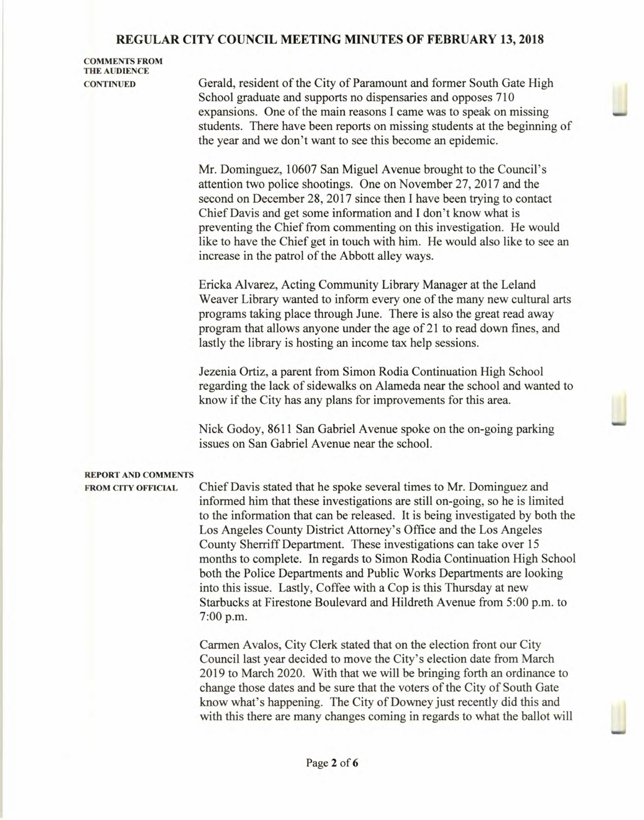## **COMMENTS FROM THE AUDIENCE**

**CONTINUED** Gerald, resident of the City of Paramount and former South Gate High School graduate and supports no dispensaries and opposes 710 expansions. One of the main reasons I came was to speak on missing students. There have been reports on missing students at the beginning of the year and we don't want to see this become an epidemic.

> Mr. Dominguez, 10607 San Miguel Avenue brought to the Council's attention two police shootings. One on November 27, 2017 and the second on December 28, 2017 since then I have been trying to contact Chief Davis and get some information and I don't know what is preventing the Chief from commenting on this investigation. He would like to have the Chief get in touch with him. He would also like to see an increase in the patrol of the Abbott alley ways.

> Ericka Alvarez, Acting Community Library Manager at the Leland Weaver Library wanted to inform every one of the many new cultural arts programs taking place through June. There is also the great read away program that allows anyone under the age of 21 to read down fines, and lastly the library is hosting an income tax help sessions.

> Jezenia Ortiz, a parent from Simon Rodia Continuation High School regarding the lack of sidewalks on Alameda near the school and wanted to know if the City has any plans for improvements for this area.

Nick Godoy, 8611 San Gabriel Avenue spoke on the on-going parking issues on San Gabriel Avenue near the school.

### **REPORT AND COMMENTS**

**FROM CITY OFFICIAL** Chief Davis stated that he spoke several times to Mr. Dominguez and informed him that these investigations are still on-going, so he is limited to the information that can be released. It is being investigated by both the Los Angeles County District Attorney's Office and the Los Angeles County Sherriff Department. These investigations can take over 15 months to complete. In regards to Simon Rodia Continuation High School both the Police Departments and Public Works Departments are looking into this issue. Lastly, Coffee with a Cop is this Thursday at new Starbucks at Firestone Boulevard and Hildreth Avenue from 5:00 p.m. to 7:00 p.m.

> Carmen Avalos, City Clerk stated that on the election front our City Council last year decided to move the City's election date from March 2019 to March 2020. With that we will be bringing forth an ordinance to change those dates and be sure that the voters of the City of South Gate know what's happening. The City of Downey just recently did this and with this there are many changes coming in regards to what the ballot will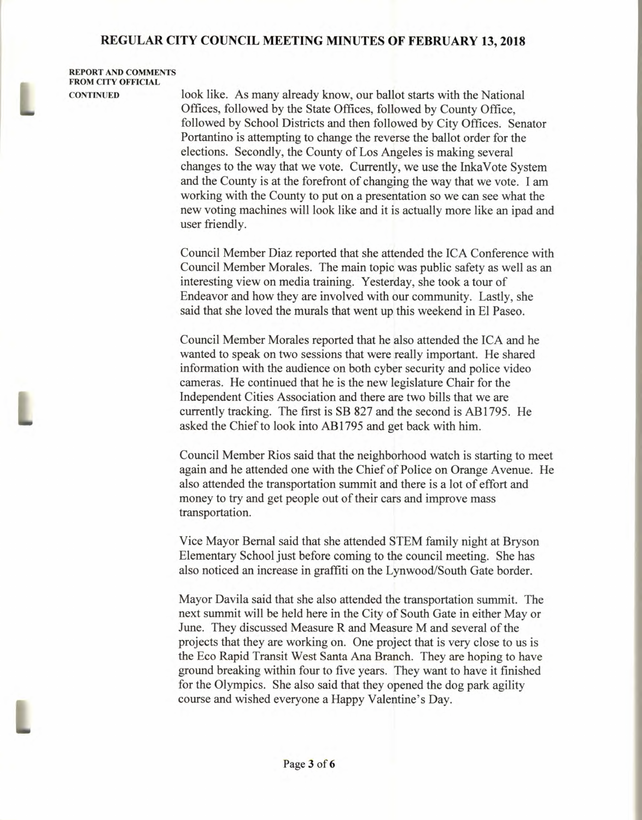**REPORT AND COMMENTS FROM CITY OFFICIAL** 

**CONTINUED** look like. As many already know, our ballot starts with the National Offices, followed by the State Offices, followed by County Office, followed by School Districts and then followed by City Offices. Senator Portantino is attempting to change the reverse the ballot order for the elections. Secondly, the County of Los Angeles is making several changes to the way that we vote. Currently, we use the InkaVote System and the County is at the forefront of changing the way that we vote. I am working with the County to put on a presentation so we can see what the new voting machines will look like and it is actually more like an ipad and user friendly.

> Council Member Diaz reported that she attended the ICA Conference with Council Member Morales. The main topic was public safety as well as an interesting view on media training. Yesterday, she took a tour of Endeavor and how they are involved with our community. Lastly, she said that she loved the murals that went up this weekend in El Paseo.

Council Member Morales reported that he also attended the ICA and he wanted to speak on two sessions that were really important. He shared information with the audience on both cyber security and police video cameras. He continued that he is the new legislature Chair for the Independent Cities Association and there are two bills that we are currently tracking. The first is SB 827 and the second is AB1795. He asked the Chief to look into AB1795 and get back with him.

Council Member Rios said that the neighborhood watch is starting to meet again and he attended one with the Chief of Police on Orange Avenue. He also attended the transportation summit and there is a lot of effort and money to try and get people out of their cars and improve mass transportation.

Vice Mayor Bernal said that she attended STEM family night at Bryson Elementary School just before coming to the council meeting. She has also noticed an increase in graffiti on the Lynwood/South Gate border.

Mayor Davila said that she also attended the transportation summit. The next summit will be held here in the City of South Gate in either May or June. They discussed Measure R and Measure M and several of the projects that they are working on. One project that is very close to us is the Eco Rapid Transit West Santa Ana Branch. They are hoping to have ground breaking within four to five years. They want to have it finished for the Olympics. She also said that they opened the dog park agility course and wished everyone a Happy Valentine's Day.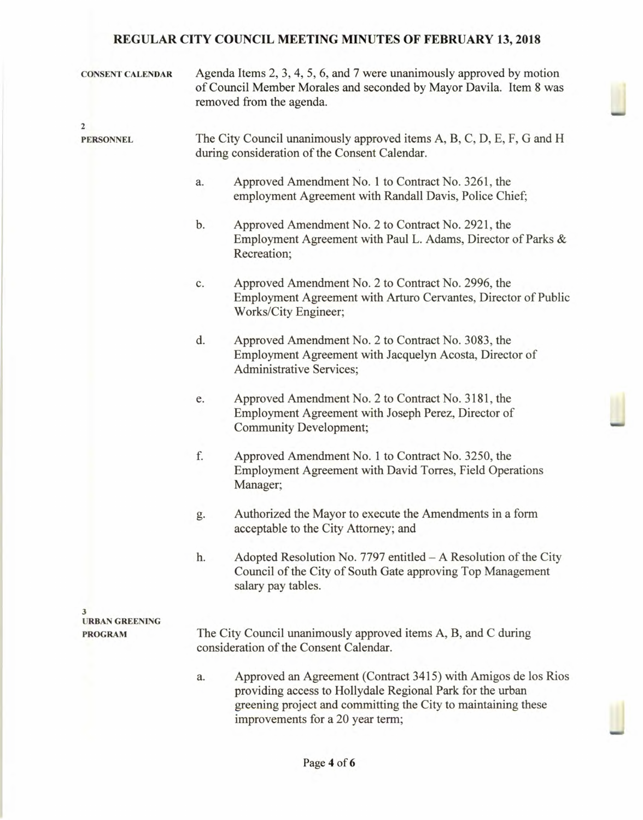| <b>CONSENT CALENDAR</b> | Agenda Items 2, 3, 4, 5, 6, and 7 were unanimously approved by motion<br>of Council Member Morales and seconded by Mayor Davila. Item 8 was<br>removed from the agenda. |                                                                                                                                                                                                                                 |  |  |  |  |
|-------------------------|-------------------------------------------------------------------------------------------------------------------------------------------------------------------------|---------------------------------------------------------------------------------------------------------------------------------------------------------------------------------------------------------------------------------|--|--|--|--|
| $\mathbf{2}$            |                                                                                                                                                                         |                                                                                                                                                                                                                                 |  |  |  |  |
| <b>PERSONNEL</b>        | The City Council unanimously approved items A, B, C, D, E, F, G and H<br>during consideration of the Consent Calendar.                                                  |                                                                                                                                                                                                                                 |  |  |  |  |
|                         | a.                                                                                                                                                                      | Approved Amendment No. 1 to Contract No. 3261, the<br>employment Agreement with Randall Davis, Police Chief;                                                                                                                    |  |  |  |  |
|                         | b.                                                                                                                                                                      | Approved Amendment No. 2 to Contract No. 2921, the<br>Employment Agreement with Paul L. Adams, Director of Parks &<br>Recreation;                                                                                               |  |  |  |  |
|                         | Approved Amendment No. 2 to Contract No. 2996, the<br>c.<br>Employment Agreement with Arturo Cervantes, Director of Public<br>Works/City Engineer;                      |                                                                                                                                                                                                                                 |  |  |  |  |
|                         | d.<br>Approved Amendment No. 2 to Contract No. 3083, the<br>Employment Agreement with Jacquelyn Acosta, Director of<br><b>Administrative Services;</b>                  |                                                                                                                                                                                                                                 |  |  |  |  |
|                         | e.                                                                                                                                                                      | Approved Amendment No. 2 to Contract No. 3181, the<br>Employment Agreement with Joseph Perez, Director of<br>Community Development;                                                                                             |  |  |  |  |
|                         | f.                                                                                                                                                                      | Approved Amendment No. 1 to Contract No. 3250, the<br>Employment Agreement with David Torres, Field Operations<br>Manager;                                                                                                      |  |  |  |  |
|                         | g.                                                                                                                                                                      | Authorized the Mayor to execute the Amendments in a form<br>acceptable to the City Attorney; and                                                                                                                                |  |  |  |  |
|                         | h.                                                                                                                                                                      | Adopted Resolution No. 7797 entitled - A Resolution of the City<br>Council of the City of South Gate approving Top Management<br>salary pay tables.                                                                             |  |  |  |  |
|                         |                                                                                                                                                                         |                                                                                                                                                                                                                                 |  |  |  |  |
| <b>URBAN GREENING</b>   | The City Council unanimously approved items A, B, and C during                                                                                                          |                                                                                                                                                                                                                                 |  |  |  |  |
| <b>PROGRAM</b>          | consideration of the Consent Calendar.                                                                                                                                  |                                                                                                                                                                                                                                 |  |  |  |  |
|                         | a.                                                                                                                                                                      | Approved an Agreement (Contract 3415) with Amigos de los Rios<br>providing access to Hollydale Regional Park for the urban<br>greening project and committing the City to maintaining these<br>improvements for a 20 year term; |  |  |  |  |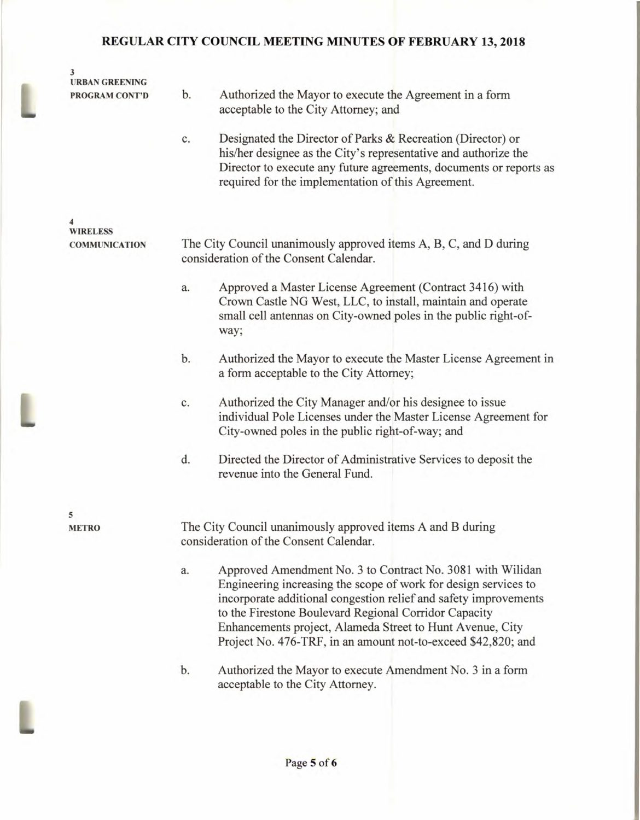| 3<br><b>URBAN GREENING</b> |            |                                                                                                                                                                                                                                                                                                                                                                                          |
|----------------------------|------------|------------------------------------------------------------------------------------------------------------------------------------------------------------------------------------------------------------------------------------------------------------------------------------------------------------------------------------------------------------------------------------------|
| PROGRAM CONT'D             | b.         | Authorized the Mayor to execute the Agreement in a form<br>acceptable to the City Attorney; and                                                                                                                                                                                                                                                                                          |
|                            | c.         | Designated the Director of Parks & Recreation (Director) or<br>his/her designee as the City's representative and authorize the<br>Director to execute any future agreements, documents or reports as<br>required for the implementation of this Agreement.                                                                                                                               |
| 4<br><b>WIRELESS</b>       |            |                                                                                                                                                                                                                                                                                                                                                                                          |
| <b>COMMUNICATION</b>       |            | The City Council unanimously approved items A, B, C, and D during<br>consideration of the Consent Calendar.                                                                                                                                                                                                                                                                              |
|                            | a.<br>way; | Approved a Master License Agreement (Contract 3416) with<br>Crown Castle NG West, LLC, to install, maintain and operate<br>small cell antennas on City-owned poles in the public right-of-                                                                                                                                                                                               |
|                            | b.         | Authorized the Mayor to execute the Master License Agreement in<br>a form acceptable to the City Attorney;                                                                                                                                                                                                                                                                               |
|                            | c.         | Authorized the City Manager and/or his designee to issue<br>individual Pole Licenses under the Master License Agreement for<br>City-owned poles in the public right-of-way; and                                                                                                                                                                                                          |
|                            | d.         | Directed the Director of Administrative Services to deposit the<br>revenue into the General Fund.                                                                                                                                                                                                                                                                                        |
| 5<br><b>METRO</b>          |            | The City Council unanimously approved items A and B during<br>consideration of the Consent Calendar.                                                                                                                                                                                                                                                                                     |
|                            | a.         | Approved Amendment No. 3 to Contract No. 3081 with Wilidan<br>Engineering increasing the scope of work for design services to<br>incorporate additional congestion relief and safety improvements<br>to the Firestone Boulevard Regional Corridor Capacity<br>Enhancements project, Alameda Street to Hunt Avenue, City<br>Project No. 476-TRF, in an amount not-to-exceed \$42,820; and |
|                            | b.         | Authorized the Mayor to execute Amendment No. 3 in a form<br>acceptable to the City Attorney.                                                                                                                                                                                                                                                                                            |
|                            |            |                                                                                                                                                                                                                                                                                                                                                                                          |

I